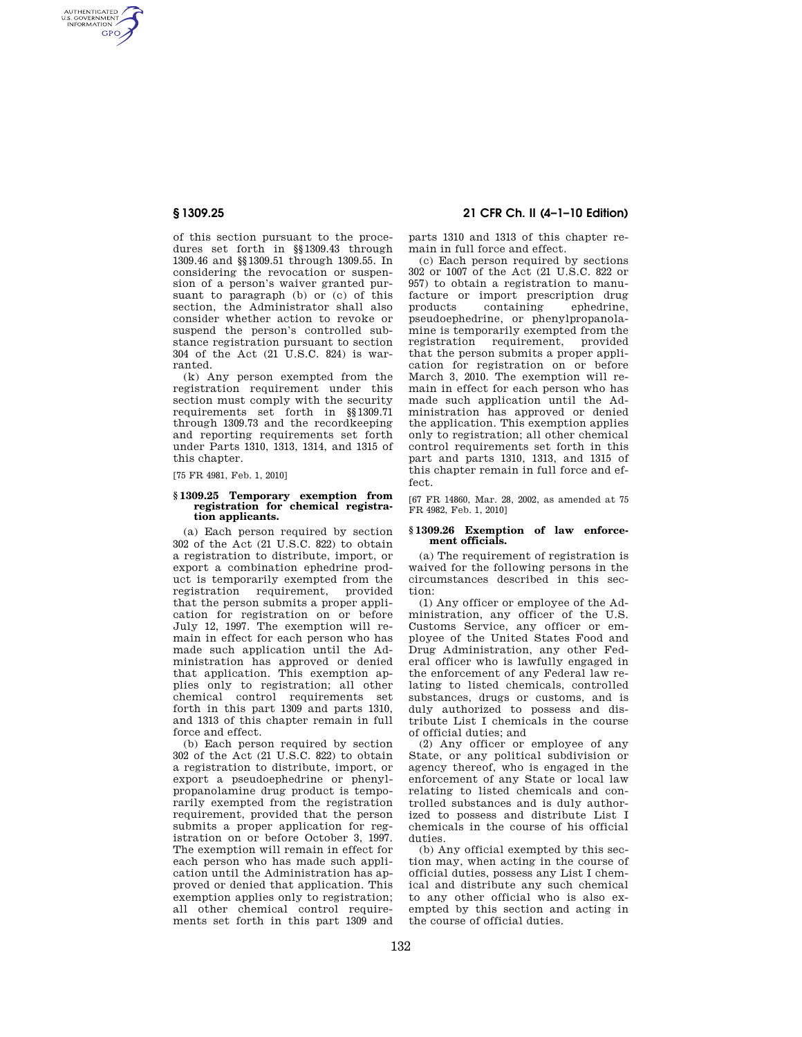AUTHENTICATED<br>U.S. GOVERNMENT<br>INFORMATION **GPO** 

> of this section pursuant to the procedures set forth in §§1309.43 through 1309.46 and §§1309.51 through 1309.55. In considering the revocation or suspension of a person's waiver granted pursuant to paragraph (b) or (c) of this section, the Administrator shall also consider whether action to revoke or suspend the person's controlled substance registration pursuant to section 304 of the Act (21 U.S.C. 824) is warranted.

> (k) Any person exempted from the registration requirement under this section must comply with the security requirements set forth in §§1309.71 through 1309.73 and the recordkeeping and reporting requirements set forth under Parts 1310, 1313, 1314, and 1315 of this chapter.

[75 FR 4981, Feb. 1, 2010]

# **§ 1309.25 Temporary exemption from registration for chemical registration applicants.**

(a) Each person required by section 302 of the Act (21 U.S.C. 822) to obtain a registration to distribute, import, or export a combination ephedrine product is temporarily exempted from the registration requirement, provided that the person submits a proper application for registration on or before July 12, 1997. The exemption will remain in effect for each person who has made such application until the Administration has approved or denied that application. This exemption applies only to registration; all other chemical control requirements set forth in this part 1309 and parts 1310, and 1313 of this chapter remain in full force and effect.

(b) Each person required by section 302 of the Act (21 U.S.C. 822) to obtain a registration to distribute, import, or export a pseudoephedrine or phenylpropanolamine drug product is temporarily exempted from the registration requirement, provided that the person submits a proper application for registration on or before October 3, 1997. The exemption will remain in effect for each person who has made such application until the Administration has approved or denied that application. This exemption applies only to registration; all other chemical control requirements set forth in this part 1309 and

# **§ 1309.25 21 CFR Ch. II (4–1–10 Edition)**

parts 1310 and 1313 of this chapter remain in full force and effect.

(c) Each person required by sections 302 or 1007 of the Act (21 U.S.C. 822 or 957) to obtain a registration to manufacture or import prescription drug<br>products containing ephedrine. containing ephedrine, pseudoephedrine, or phenylpropanolamine is temporarily exempted from the registration requirement, provided that the person submits a proper application for registration on or before March 3, 2010. The exemption will remain in effect for each person who has made such application until the Administration has approved or denied the application. This exemption applies only to registration; all other chemical control requirements set forth in this part and parts 1310, 1313, and 1315 of this chapter remain in full force and effect.

[67 FR 14860, Mar. 28, 2002, as amended at 75 FR 4982, Feb. 1, 2010]

## **§ 1309.26 Exemption of law enforcement officials.**

(a) The requirement of registration is waived for the following persons in the circumstances described in this section:

(1) Any officer or employee of the Administration, any officer of the U.S. Customs Service, any officer or employee of the United States Food and Drug Administration, any other Federal officer who is lawfully engaged in the enforcement of any Federal law relating to listed chemicals, controlled substances, drugs or customs, and is duly authorized to possess and distribute List I chemicals in the course of official duties; and

(2) Any officer or employee of any State, or any political subdivision or agency thereof, who is engaged in the enforcement of any State or local law relating to listed chemicals and controlled substances and is duly authorized to possess and distribute List I chemicals in the course of his official duties.

(b) Any official exempted by this section may, when acting in the course of official duties, possess any List I chemical and distribute any such chemical to any other official who is also exempted by this section and acting in the course of official duties.